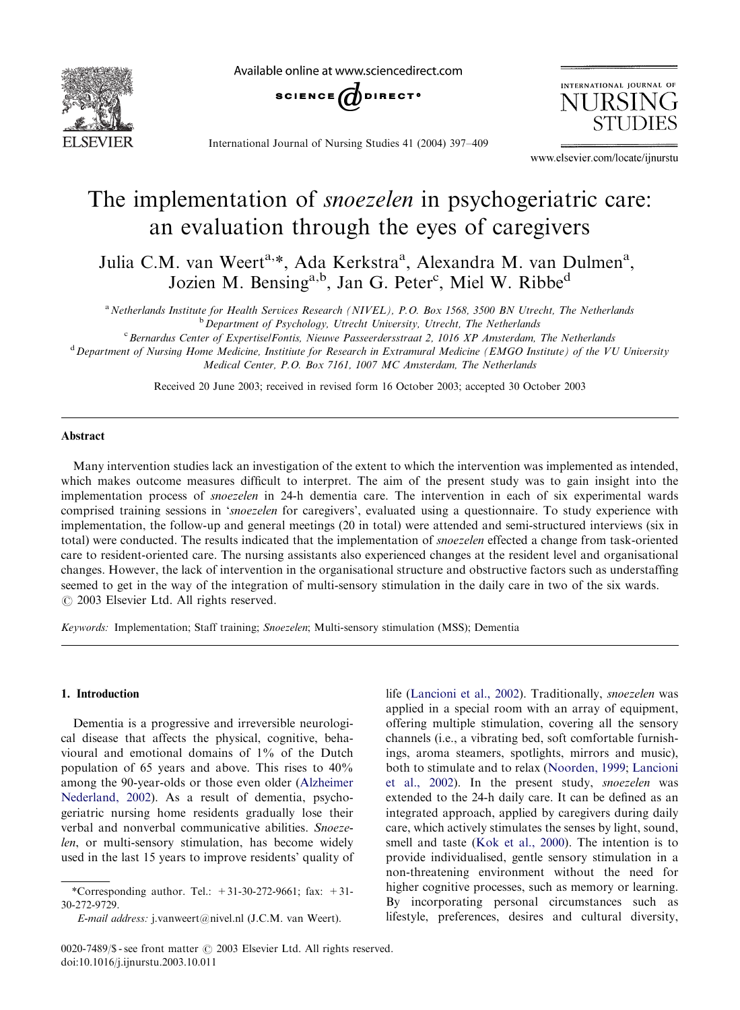

Available online at www.sciencedirect.com



International Journal of Nursing Studies 41 (2004) 397–409

INTERNATIONAL JOURNAL OF **NURSIN** 

www.elsevier.com/locate/ijnurstu

# The implementation of *snoezelen* in psychogeriatric care: an evaluation through the eyes of caregivers

Julia C.M. van Weert<sup>a,\*</sup>, Ada Kerkstra<sup>a</sup>, Alexandra M. van Dulmen<sup>a</sup>, Jozien M. Bensing<sup>a,b</sup>, Jan G. Peter<sup>c</sup>, Miel W. Ribbe<sup>d</sup>

<sup>a</sup> Netherlands Institute for Health Services Research (NIVEL), P.O. Box 1568, 3500 BN Utrecht, The Netherlands  $<sup>b</sup>$  Department of Psychology, Utrecht University, Utrecht, The Netherlands</sup>

<sup>c</sup> Bernardus Center of Expertise/Fontis, Nieuwe Passeerdersstraat 2, 1016 XP Amsterdam, The Netherlands

<sup>d</sup> Department of Nursing Home Medicine, Institiute for Research in Extramural Medicine (EMGO Institute) of the VU University Medical Center, P.O. Box 7161, 1007 MC Amsterdam, The Netherlands

Received 20 June 2003; received in revised form 16 October 2003; accepted 30 October 2003

#### Abstract

Manyintervention studies lack an investigation of the extent to which the intervention was implemented as intended, which makes outcome measures difficult to interpret. The aim of the present study was to gain insight into the implementation process of snoezelen in 24-h dementia care. The intervention in each of six experimental wards comprised training sessions in 'snoezelen for caregivers', evaluated using a questionnaire. To study experience with implementation, the follow-up and general meetings (20 in total) were attended and semi-structured interviews (six in total) were conducted. The results indicated that the implementation of *snoezelen* effected a change from task-oriented care to resident-oriented care. The nursing assistants also experienced changes at the resident level and organisational changes. However, the lack of intervention in the organisational structure and obstructive factors such as understaffing seemed to get in the way of the integration of multi-sensory stimulation in the daily care in two of the six wards.  $\odot$  2003 Elsevier Ltd. All rights reserved.

Keywords: Implementation; Staff training; Snoezelen; Multi-sensorystimulation (MSS); Dementia

## 1. Introduction

Dementia is a progressive and irreversible neurological disease that affects the physical, cognitive, behavioural and emotional domains of 1% of the Dutch population of 65 years and above. This rises to 40% among the 90-year-olds or those even older ([Alzheimer](#page-11-0) [Nederland, 2002](#page-11-0)). As a result of dementia, psychogeriatric nursing home residents gradually lose their verbal and nonverbal communicative abilities. Snoezelen, or multi-sensory stimulation, has become widely used in the last 15 years to improve residents' quality of

life ([Lancioni et al., 2002\)](#page-12-0). Traditionally, snoezelen was applied in a special room with an array of equipment, offering multiple stimulation, covering all the sensory channels (i.e., a vibrating bed, soft comfortable furnishings, aroma steamers, spotlights, mirrors and music), both to stimulate and to relax ([Noorden, 1999](#page-12-0); [Lancioni](#page-12-0) [et al., 2002\)](#page-12-0). In the present study, snoezelen was extended to the 24-h daily care. It can be defined as an integrated approach, applied by caregivers during daily care, which actively stimulates the senses by light, sound, smell and taste [\(Kok et al., 2000](#page-12-0)). The intention is to provide individualised, gentle sensory stimulation in a non-threatening environment without the need for higher cognitive processes, such as memory or learning. By incorporating personal circumstances such as lifestyle, preferences, desires and cultural diversity,

<sup>\*</sup>Corresponding author. Tel.:  $+31-30-272-9661$ ; fax:  $+31-$ 30-272-9729.

E-mail address: j.vanweert@nivel.nl (J.C.M. van Weert).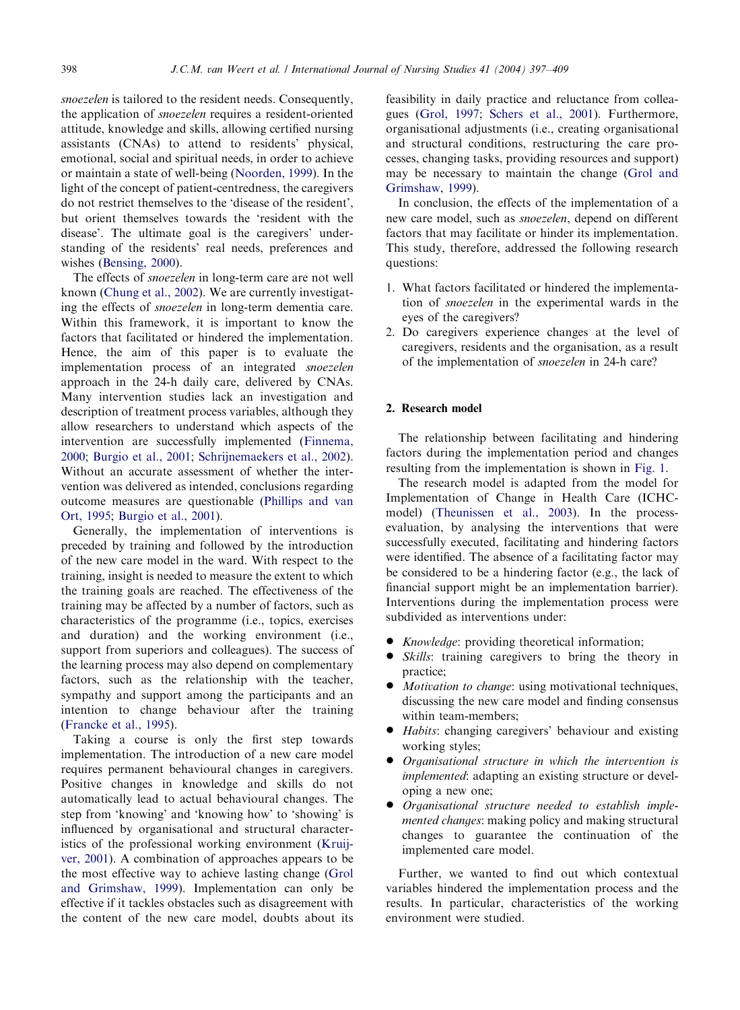snoezelen is tailored to the resident needs. Consequently, the application of snoezelen requires a resident-oriented attitude, knowledge and skills, allowing certified nursing assistants (CNAs) to attend to residents' physical, emotional, social and spiritual needs, in order to achieve or maintain a state of well-being ([Noorden, 1999\)](#page-12-0). In the light of the concept of patient-centredness, the caregivers do not restrict themselves to the 'disease of the resident', but orient themselves towards the 'resident with the disease'. The ultimate goal is the caregivers' understanding of the residents' real needs, preferences and wishes [\(Bensing, 2000\)](#page-12-0).

The effects of snoezelen in long-term care are not well known [\(Chung et al., 2002](#page-12-0)). We are currently investigating the effects of snoezelen in long-term dementia care. Within this framework, it is important to know the factors that facilitated or hindered the implementation. Hence, the aim of this paper is to evaluate the implementation process of an integrated snoezelen approach in the 24-h daily care, delivered by CNAs. Many intervention studies lack an investigation and description of treatment process variables, although they allow researchers to understand which aspects of the intervention are successfully implemented ([Finnema,](#page-12-0) [2000;](#page-12-0) [Burgio et al., 2001;](#page-12-0) [Schrijnemaekers et al., 2002\)](#page-12-0). Without an accurate assessment of whether the intervention was delivered as intended, conclusions regarding outcome measures are questionable [\(Phillips and van](#page-12-0) [Ort, 1995;](#page-12-0) [Burgio et al., 2001\)](#page-12-0).

Generally, the implementation of interventions is preceded by training and followed by the introduction of the new care model in the ward. With respect to the training, insight is needed to measure the extent to which the training goals are reached. The effectiveness of the training maybe affected bya number of factors, such as characteristics of the programme (i.e., topics, exercises and duration) and the working environment (i.e., support from superiors and colleagues). The success of the learning process mayalso depend on complementary factors, such as the relationship with the teacher, sympathy and support among the participants and an intention to change behaviour after the training ([Francke et al., 1995](#page-12-0)).

Taking a course is only the first step towards implementation. The introduction of a new care model requires permanent behavioural changes in caregivers. Positive changes in knowledge and skills do not automatically lead to actual behavioural changes. The step from 'knowing' and 'knowing how' to 'showing' is influenced by organisational and structural characteristics of the professional working environment [\(Kruij](#page-12-0)[ver, 2001](#page-12-0)). A combination of approaches appears to be the most effective way to achieve lasting change ([Grol](#page-12-0) [and Grimshaw, 1999](#page-12-0)). Implementation can onlybe effective if it tackles obstacles such as disagreement with the content of the new care model, doubts about its

feasibility in daily practice and reluctance from colleagues ([Grol, 1997;](#page-12-0) [Schers et al., 2001\)](#page-12-0). Furthermore, organisational adjustments (i.e., creating organisational and structural conditions, restructuring the care processes, changing tasks, providing resources and support) may be necessary to maintain the change ([Grol and](#page-12-0) [Grimshaw, 1999](#page-12-0)).

In conclusion, the effects of the implementation of a new care model, such as snoezelen, depend on different factors that may facilitate or hinder its implementation. This study, therefore, addressed the following research questions:

- 1. What factors facilitated or hindered the implementation of snoezelen in the experimental wards in the eyes of the caregivers?
- 2. Do caregivers experience changes at the level of caregivers, residents and the organisation, as a result of the implementation of snoezelen in 24-h care?

## 2. Research model

The relationship between facilitating and hindering factors during the implementation period and changes resulting from the implementation is shown in [Fig. 1](#page-2-0).

The research model is adapted from the model for Implementation of Change in Health Care (ICHCmodel) ([Theunissen et al., 2003](#page-12-0)). In the processevaluation, by analysing the interventions that were successfully executed, facilitating and hindering factors were identified. The absence of a facilitating factor may be considered to be a hindering factor (e.g., the lack of financial support might be an implementation barrier). Interventions during the implementation process were subdivided as interventions under:

- *Knowledge*: providing theoretical information;
- $\bullet$  Skills: training caregivers to bring the theory in practice;
- Motivation to change: using motivational techniques, discussing the new care model and finding consensus within team-members;
- $\bullet$  *Habits*: changing caregivers' behaviour and existing working styles;
- Organisational structure in which the intervention is implemented: adapting an existing structure or developing a new one;
- \* Organisational structure needed to establish implemented changes: making policy and making structural changes to guarantee the continuation of the implemented care model.

Further, we wanted to find out which contextual variables hindered the implementation process and the results. In particular, characteristics of the working environment were studied.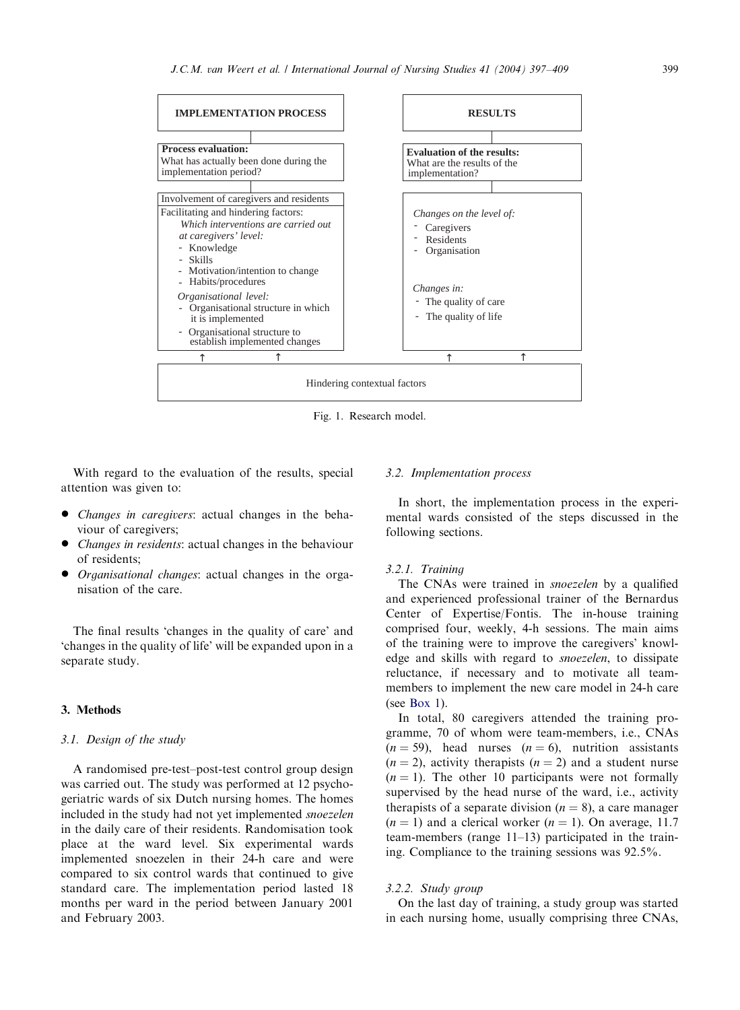<span id="page-2-0"></span>

Fig. 1. Research model.

With regard to the evaluation of the results, special attention was given to:

- *Changes in caregivers*: actual changes in the behaviour of caregivers;
- *Changes in residents*: actual changes in the behaviour of residents;
- *Organisational changes*: actual changes in the organisation of the care.

The final results 'changes in the quality of care' and 'changes in the qualityof life' will be expanded upon in a separate study.

## 3. Methods

## 3.1. Design of the study

A randomised pre-test–post-test control group design was carried out. The study was performed at 12 psychogeriatric wards of six Dutch nursing homes. The homes included in the study had not yet implemented snoezelen in the daily care of their residents. Randomisation took place at the ward level. Six experimental wards implemented snoezelen in their 24-h care and were compared to six control wards that continued to give standard care. The implementation period lasted 18 months per ward in the period between January 2001 and February 2003.

## 3.2. Implementation process

In short, the implementation process in the experimental wards consisted of the steps discussed in the following sections.

#### 3.2.1. Training

The CNAs were trained in *snoezelen* by a qualified and experienced professional trainer of the Bernardus Center of Expertise/Fontis. The in-house training comprised four, weekly, 4-h sessions. The main aims of the training were to improve the caregivers' knowledge and skills with regard to snoezelen, to dissipate reluctance, if necessary and to motivate all teammembers to implement the new care model in 24-h care (see [Box 1](#page-3-0)).

In total, 80 caregivers attended the training programme, 70 of whom were team-members, i.e., CNAs  $(n = 59)$ , head nurses  $(n = 6)$ , nutrition assistants  $(n = 2)$ , activity therapists  $(n = 2)$  and a student nurse  $(n = 1)$ . The other 10 participants were not formally supervised by the head nurse of the ward, i.e., activity therapists of a separate division ( $n = 8$ ), a care manager  $(n = 1)$  and a clerical worker  $(n = 1)$ . On average, 11.7 team-members (range 11–13) participated in the training. Compliance to the training sessions was 92.5%.

#### 3.2.2. Study group

On the last dayof training, a studygroup was started in each nursing home, usually comprising three CNAs,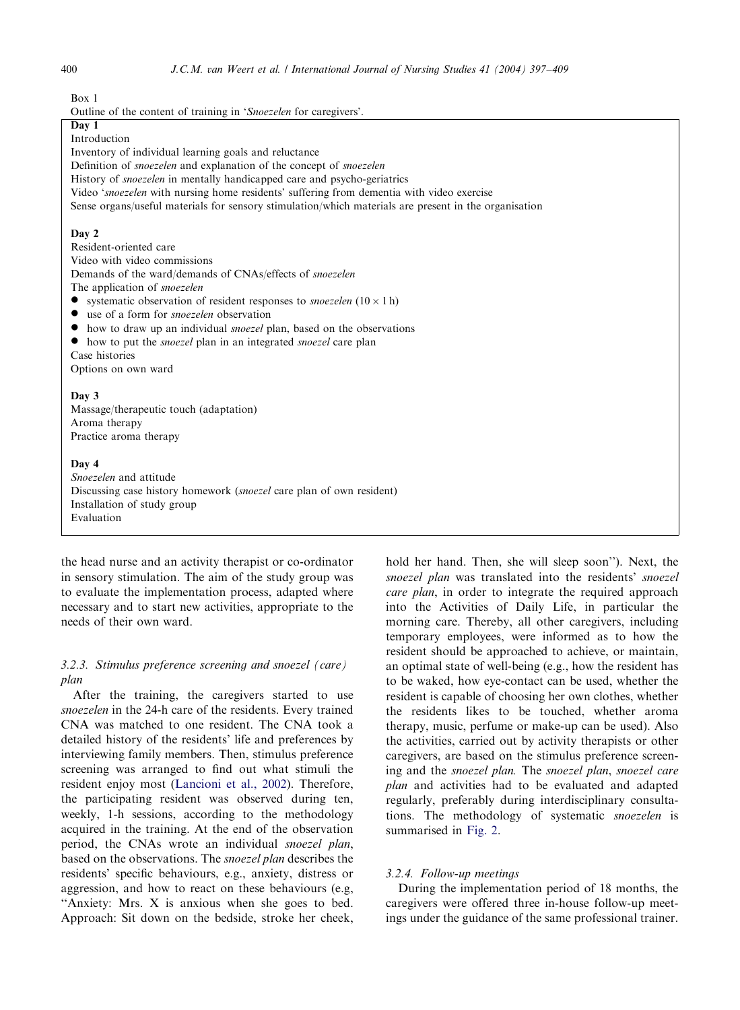<span id="page-3-0"></span> $Box 1$ 

Outline of the content of training in 'Snoezelen for caregivers'.

## Day 1

Introduction

Inventoryof individual learning goals and reluctance

Definition of snoezelen and explanation of the concept of snoezelen

History of *snoezelen* in mentally handicapped care and psycho-geriatrics

Video 'snoezelen with nursing home residents' suffering from dementia with video exercise

Sense organs/useful materials for sensorystimulation/which materials are present in the organisation

#### Day 2

Resident-oriented care Video with video commissions Demands of the ward/demands of CNAs/effects of snoezelen

The application of snoezelen

- systematic observation of resident responses to *snoezelen*  $(10 \times 1 h)$
- use of a form for *snoezelen* observation
- $\bullet$  how to draw up an individual snoezel plan, based on the observations
- how to put the *snoezel* plan in an integrated *snoezel* care plan

Case histories Options on own ward

## Day 3

Massage/therapeutic touch (adaptation) Aroma therapy Practice aroma therapy

#### Day 4

Snoezelen and attitude Discussing case history homework *(snoezel* care plan of own resident) Installation of study group Evaluation

the head nurse and an activity therapist or co-ordinator in sensory stimulation. The aim of the study group was to evaluate the implementation process, adapted where necessaryand to start new activities, appropriate to the needs of their own ward.

## 3.2.3. Stimulus preference screening and snoezel (care) plan

After the training, the caregivers started to use snoezelen in the 24-h care of the residents. Every trained CNA was matched to one resident. The CNA took a detailed history of the residents' life and preferences by interviewing family members. Then, stimulus preference screening was arranged to find out what stimuli the resident enjoy most ([Lancioni et al., 2002\)](#page-12-0). Therefore, the participating resident was observed during ten, weekly, 1-h sessions, according to the methodology acquired in the training. At the end of the observation period, the CNAs wrote an individual snoezel plan, based on the observations. The snoezel plan describes the residents' specific behaviours, e.g., anxiety, distress or aggression, and how to react on these behaviours (e.g, ''Anxiety: Mrs. X is anxious when she goes to bed. Approach: Sit down on the bedside, stroke her cheek,

hold her hand. Then, she will sleep soon''). Next, the snoezel plan was translated into the residents' snoezel care plan, in order to integrate the required approach into the Activities of Daily Life, in particular the morning care. Thereby, all other caregivers, including temporaryemployees, were informed as to how the resident should be approached to achieve, or maintain, an optimal state of well-being (e.g., how the resident has to be waked, how eye-contact can be used, whether the resident is capable of choosing her own clothes, whether the residents likes to be touched, whether aroma therapy, music, perfume or make-up can be used). Also the activities, carried out by activity therapists or other caregivers, are based on the stimulus preference screening and the snoezel plan. The snoezel plan, snoezel care plan and activities had to be evaluated and adapted regularly, preferably during interdisciplinary consultations. The methodology of systematic snoezelen is summarised in [Fig. 2.](#page-4-0)

#### 3.2.4. Follow-up meetings

During the implementation period of 18 months, the caregivers were offered three in-house follow-up meetings under the guidance of the same professional trainer.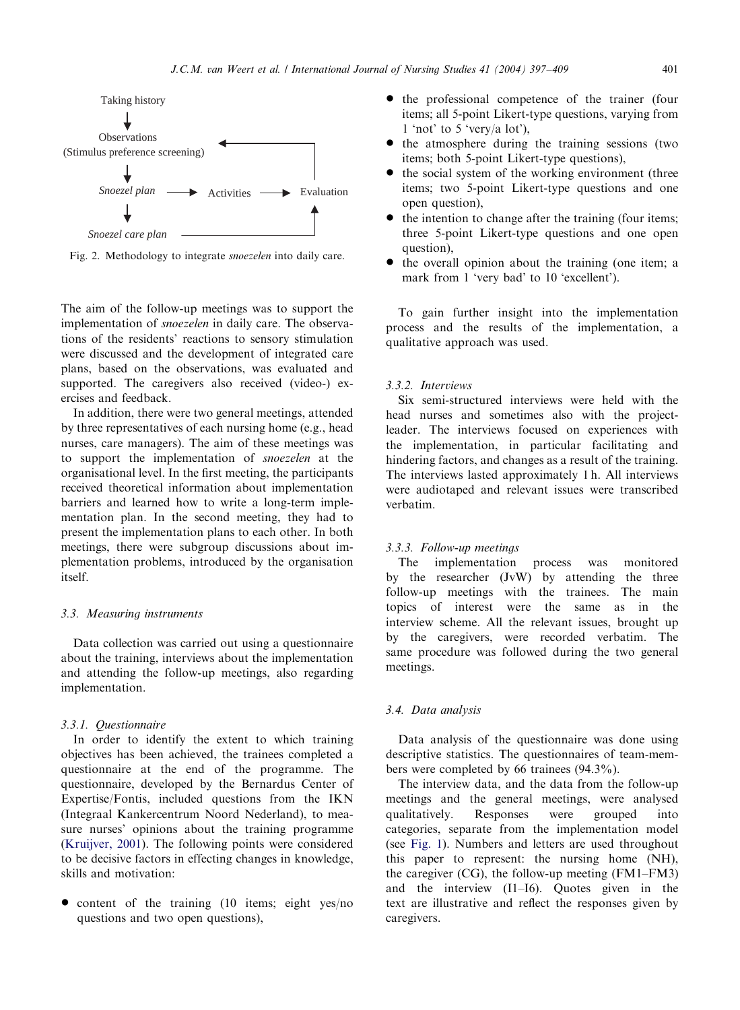<span id="page-4-0"></span>

Fig. 2. Methodology to integrate *snoezelen* into daily care.

The aim of the follow-up meetings was to support the implementation of *snoezelen* in daily care. The observations of the residents' reactions to sensorystimulation were discussed and the development of integrated care plans, based on the observations, was evaluated and supported. The caregivers also received (video-) exercises and feedback.

In addition, there were two general meetings, attended bythree representatives of each nursing home (e.g., head nurses, care managers). The aim of these meetings was to support the implementation of snoezelen at the organisational level. In the first meeting, the participants received theoretical information about implementation barriers and learned how to write a long-term implementation plan. In the second meeting, they had to present the implementation plans to each other. In both meetings, there were subgroup discussions about implementation problems, introduced by the organisation itself.

#### 3.3. Measuring instruments

Data collection was carried out using a questionnaire about the training, interviews about the implementation and attending the follow-up meetings, also regarding implementation.

#### 3.3.1. Questionnaire

In order to identify the extent to which training objectives has been achieved, the trainees completed a questionnaire at the end of the programme. The questionnaire, developed by the Bernardus Center of Expertise/Fontis, included questions from the IKN (Integraal Kankercentrum Noord Nederland), to measure nurses' opinions about the training programme ([Kruijver, 2001](#page-12-0)). The following points were considered to be decisive factors in effecting changes in knowledge, skills and motivation:

 $\bullet$  content of the training (10 items; eight yes/no questions and two open questions),

- $\bullet$  the professional competence of the trainer (four items; all 5-point Likert-type questions, varying from 1 'not' to 5 'very/a lot'),
- the atmosphere during the training sessions (two items; both 5-point Likert-type questions),
- $\bullet$  the social system of the working environment (three items; two 5-point Likert-type questions and one open question),
- $\bullet$  the intention to change after the training (four items; three 5-point Likert-type questions and one open question),
- $\bullet$  the overall opinion about the training (one item; a mark from 1 'very bad' to 10 'excellent').

To gain further insight into the implementation process and the results of the implementation, a qualitative approach was used.

## 3.3.2. Interviews

Six semi-structured interviews were held with the head nurses and sometimes also with the projectleader. The interviews focused on experiences with the implementation, in particular facilitating and hindering factors, and changes as a result of the training. The interviews lasted approximately 1 h. All interviews were audiotaped and relevant issues were transcribed verbatim.

## 3.3.3. Follow-up meetings

The implementation process was monitored by the researcher  $(JvW)$  by attending the three follow-up meetings with the trainees. The main topics of interest were the same as in the interview scheme. All the relevant issues, brought up by the caregivers, were recorded verbatim. The same procedure was followed during the two general meetings.

#### 3.4. Data analysis

Data analysis of the questionnaire was done using descriptive statistics. The questionnaires of team-members were completed by 66 trainees  $(94.3\%)$ .

The interview data, and the data from the follow-up meetings and the general meetings, were analysed qualitatively. Responses were grouped into categories, separate from the implementation model (see [Fig. 1](#page-2-0)). Numbers and letters are used throughout this paper to represent: the nursing home (NH), the caregiver (CG), the follow-up meeting (FM1–FM3) and the interview (I1–I6). Quotes given in the text are illustrative and reflect the responses given by caregivers.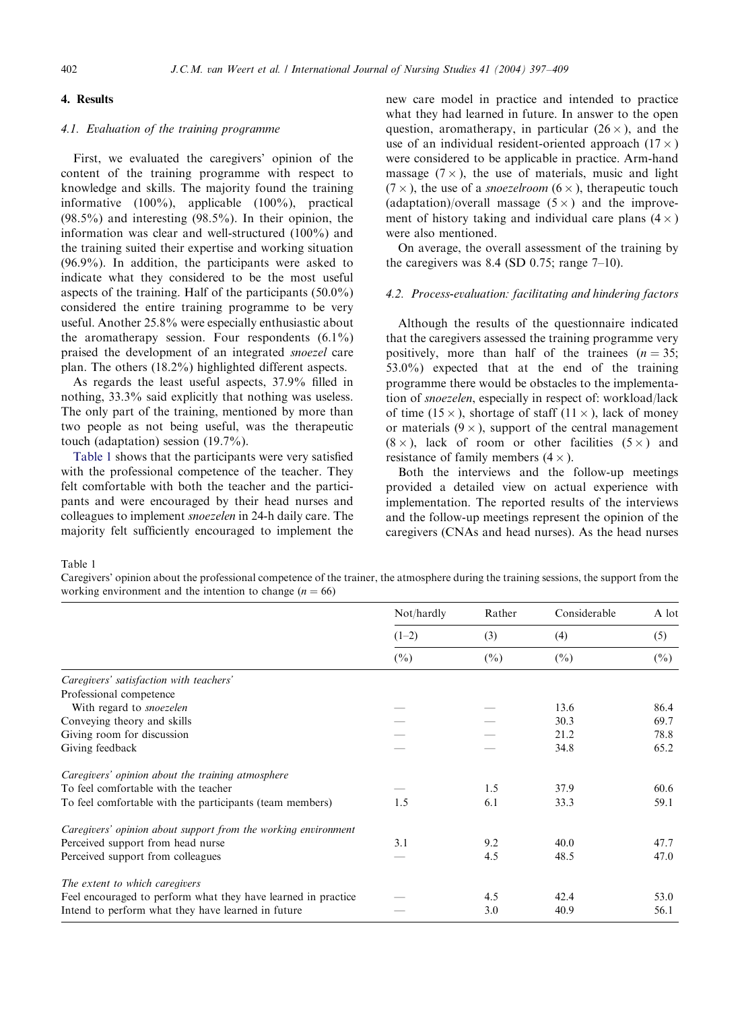## 4. Results

## 4.1. Evaluation of the training programme

First, we evaluated the caregivers' opinion of the content of the training programme with respect to knowledge and skills. The majority found the training informative (100%), applicable (100%), practical  $(98.5\%)$  and interesting  $(98.5\%)$ . In their opinion, the information was clear and well-structured (100%) and the training suited their expertise and working situation (96.9%). In addition, the participants were asked to indicate what they considered to be the most useful aspects of the training. Half of the participants (50.0%) considered the entire training programme to be very useful. Another 25.8% were especially enthusiastic about the aromatherapy session. Four respondents  $(6.1\%)$ praised the development of an integrated snoezel care plan. The others (18.2%) highlighted different aspects.

As regards the least useful aspects, 37.9% filled in nothing, 33.3% said explicitly that nothing was useless. The only part of the training, mentioned by more than two people as not being useful, was the therapeutic touch (adaptation) session (19.7%).

Table 1 shows that the participants were verysatisfied with the professional competence of the teacher. They felt comfortable with both the teacher and the participants and were encouraged by their head nurses and colleagues to implement snoezelen in 24-h dailycare. The majority felt sufficiently encouraged to implement the new care model in practice and intended to practice what they had learned in future. In answer to the open question, aromatherapy, in particular  $(26 \times)$ , and the use of an individual resident-oriented approach  $(17 \times)$ were considered to be applicable in practice. Arm-hand massage  $(7 \times)$ , the use of materials, music and light  $(7 \times)$ , the use of a *snoezelroom*  $(6 \times)$ , therapeutic touch (adaptation)/overall massage  $(5 \times)$  and the improvement of history taking and individual care plans  $(4 \times)$ were also mentioned.

On average, the overall assessment of the training by the caregivers was 8.4 (SD 0.75; range  $7-10$ ).

#### 4.2. Process-evaluation: facilitating and hindering factors

Although the results of the questionnaire indicated that the caregivers assessed the training programme very positively, more than half of the trainees  $(n = 35)$ ; 53.0%) expected that at the end of the training programme there would be obstacles to the implementation of snoezelen, especially in respect of: workload/lack of time (15  $\times$ ), shortage of staff (11  $\times$  ), lack of money or materials  $(9 \times)$ , support of the central management  $(8 \times)$ , lack of room or other facilities  $(5 \times)$  and resistance of family members  $(4 \times)$ .

Both the interviews and the follow-up meetings provided a detailed view on actual experience with implementation. The reported results of the interviews and the follow-up meetings represent the opinion of the caregivers (CNAs and head nurses). As the head nurses

Table 1

Caregivers' opinion about the professional competence of the trainer, the atmosphere during the training sessions, the support from the working environment and the intention to change ( $n = 66$ )

|                                                                | Not/hardly | Rather | Considerable<br>(4) | A lot<br>(5) |
|----------------------------------------------------------------|------------|--------|---------------------|--------------|
|                                                                | $(1-2)$    | (3)    |                     |              |
|                                                                | $(\%)$     | $(\%)$ | $(\%)$              | $(\%)$       |
| Caregivers' satisfaction with teachers'                        |            |        |                     |              |
| Professional competence                                        |            |        |                     |              |
| With regard to <i>snoezelen</i>                                |            |        | 13.6                | 86.4         |
| Conveying theory and skills                                    |            |        | 30.3                | 69.7         |
| Giving room for discussion                                     |            |        | 21.2                | 78.8         |
| Giving feedback                                                |            |        | 34.8                | 65.2         |
| Caregivers' opinion about the training atmosphere              |            |        |                     |              |
| To feel comfortable with the teacher                           |            | 1.5    | 37.9                | 60.6         |
| To feel comfortable with the participants (team members)       | 1.5        | 6.1    | 33.3                | 59.1         |
| Caregivers' opinion about support from the working environment |            |        |                     |              |
| Perceived support from head nurse                              | 3.1        | 9.2    | 40.0                | 47.7         |
| Perceived support from colleagues                              |            | 4.5    | 48.5                | 47.0         |
| The extent to which caregivers                                 |            |        |                     |              |
| Feel encouraged to perform what they have learned in practice  |            | 4.5    | 42.4                | 53.0         |
| Intend to perform what they have learned in future             |            | 3.0    | 40.9                | 56.1         |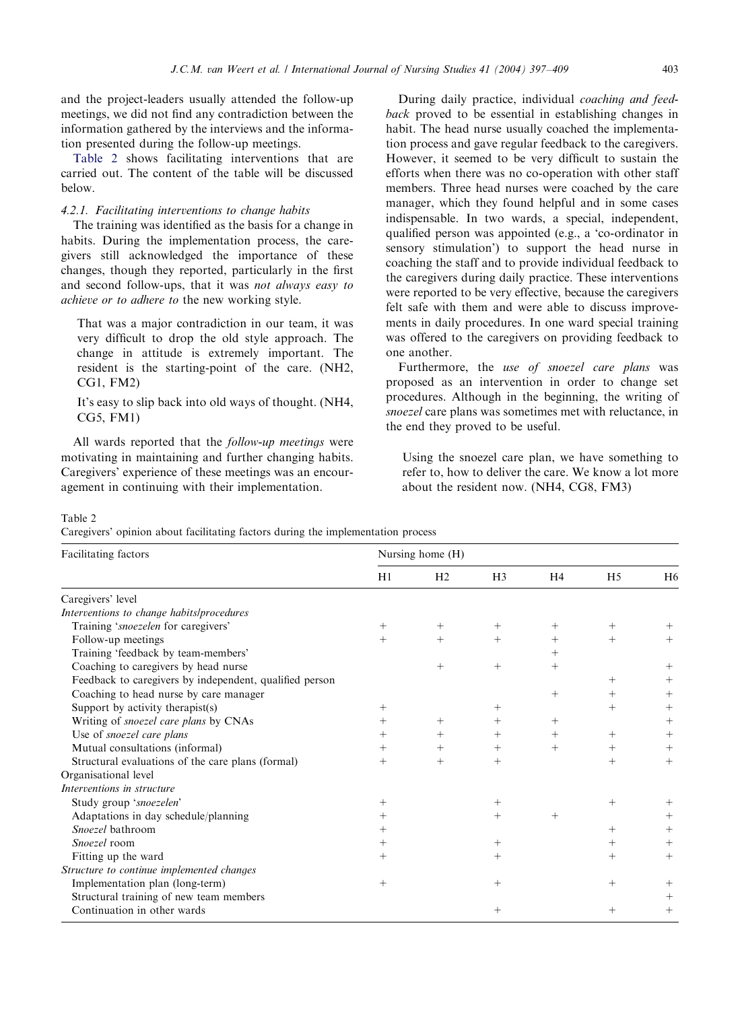and the project-leaders usuallyattended the follow-up meetings, we did not find anycontradiction between the information gathered by the interviews and the information presented during the follow-up meetings.

Table 2 shows facilitating interventions that are carried out. The content of the table will be discussed below.

## 4.2.1. Facilitating interventions to change habits

The training was identified as the basis for a change in habits. During the implementation process, the caregivers still acknowledged the importance of these changes, though they reported, particularly in the first and second follow-ups, that it was not always easy to achieve or to adhere to the new working style.

That was a major contradiction in our team, it was verydifficult to drop the old style approach. The change in attitude is extremely important. The resident is the starting-point of the care. (NH2, CG1, FM2)

It's easy to slip back into old ways of thought. (NH4, CG5, FM1)

All wards reported that the *follow-up meetings* were motivating in maintaining and further changing habits. Caregivers' experience of these meetings was an encouragement in continuing with their implementation.

During daily practice, individual *coaching and feed*back proved to be essential in establishing changes in habit. The head nurse usually coached the implementation process and gave regular feedback to the caregivers. However, it seemed to be very difficult to sustain the efforts when there was no co-operation with other staff members. Three head nurses were coached by the care manager, which they found helpful and in some cases indispensable. In two wards, a special, independent, qualified person was appointed (e.g., a 'co-ordinator in sensory stimulation') to support the head nurse in coaching the staff and to provide individual feedback to the caregivers during daily practice. These interventions were reported to be very effective, because the caregivers felt safe with them and were able to discuss improvements in daily procedures. In one ward special training was offered to the caregivers on providing feedback to one another.

Furthermore, the use of snoezel care plans was proposed as an intervention in order to change set procedures. Although in the beginning, the writing of snoezel care plans was sometimes met with reluctance, in the end they proved to be useful.

Using the snoezel care plan, we have something to refer to, how to deliver the care. We know a lot more about the resident now. (NH4, CG8, FM3)

Table 2

Caregivers' opinion about facilitating factors during the implementation process

| Facilitating factors                                    | Nursing home (H) |                |                |                |                |                |  |
|---------------------------------------------------------|------------------|----------------|----------------|----------------|----------------|----------------|--|
|                                                         | H1               | H <sub>2</sub> | H <sub>3</sub> | H <sub>4</sub> | H <sub>5</sub> | H <sub>6</sub> |  |
| Caregivers' level                                       |                  |                |                |                |                |                |  |
| Interventions to change habits/procedures               |                  |                |                |                |                |                |  |
| Training 'snoezelen for caregivers'                     | $^{+}$           | $^{+}$         | $^{+}$         | $^{+}$         |                |                |  |
| Follow-up meetings                                      | $^{+}$           | $^{+}$         | $^{+}$         | $^{+}$         | $^{+}$         | $^{+}$         |  |
| Training 'feedback by team-members'                     |                  |                |                | $^{+}$         |                |                |  |
| Coaching to caregivers by head nurse                    |                  | $^{+}$         | $+$            | $^{+}$         |                | $^{+}$         |  |
| Feedback to caregivers by independent, qualified person |                  |                |                |                | $^{+}$         | $^{+}$         |  |
| Coaching to head nurse by care manager                  |                  |                |                | $^{+}$         | $^{+}$         | $^{+}$         |  |
| Support by activity therapist(s)                        | $^{+}$           |                | $^{+}$         |                | $^{+}$         | $^{+}$         |  |
| Writing of <i>snoezel care plans</i> by CNAs            | $^{+}$           | $^{+}$         | $^{+}$         | $^{+}$         |                | $^{+}$         |  |
| Use of snoezel care plans                               | $^{+}$           | $^{+}$         | $^{+}$         | $+$            | $^+$           | $^{+}$         |  |
| Mutual consultations (informal)                         | $^{+}$           | $^{+}$         | $^{+}$         | $^{+}$         | $^{+}$         | $^{+}$         |  |
| Structural evaluations of the care plans (formal)       | $^{+}$           | $^{+}$         | $^{+}$         |                | $^{+}$         | $^{+}$         |  |
| Organisational level                                    |                  |                |                |                |                |                |  |
| Interventions in structure                              |                  |                |                |                |                |                |  |
| Study group 'snoezelen'                                 | $^{+}$           |                | $^{+}$         |                |                |                |  |
| Adaptations in day schedule/planning                    | $^{+}$           |                | $^{+}$         | $^{+}$         |                |                |  |
| Snoezel bathroom                                        | $^+$             |                |                |                | $^+$           |                |  |
| Snoezel room                                            | $^{+}$           |                | $^{+}$         |                | $^+$           |                |  |
| Fitting up the ward                                     | $^{+}$           |                | $^+$           |                | $^{+}$         | $^{+}$         |  |
| Structure to continue implemented changes               |                  |                |                |                |                |                |  |
| Implementation plan (long-term)                         | $+$              |                | $^{+}$         |                | $^{+}$         |                |  |
| Structural training of new team members                 |                  |                |                |                |                | $^+$           |  |
| Continuation in other wards                             |                  |                | $^{+}$         |                |                | $^{+}$         |  |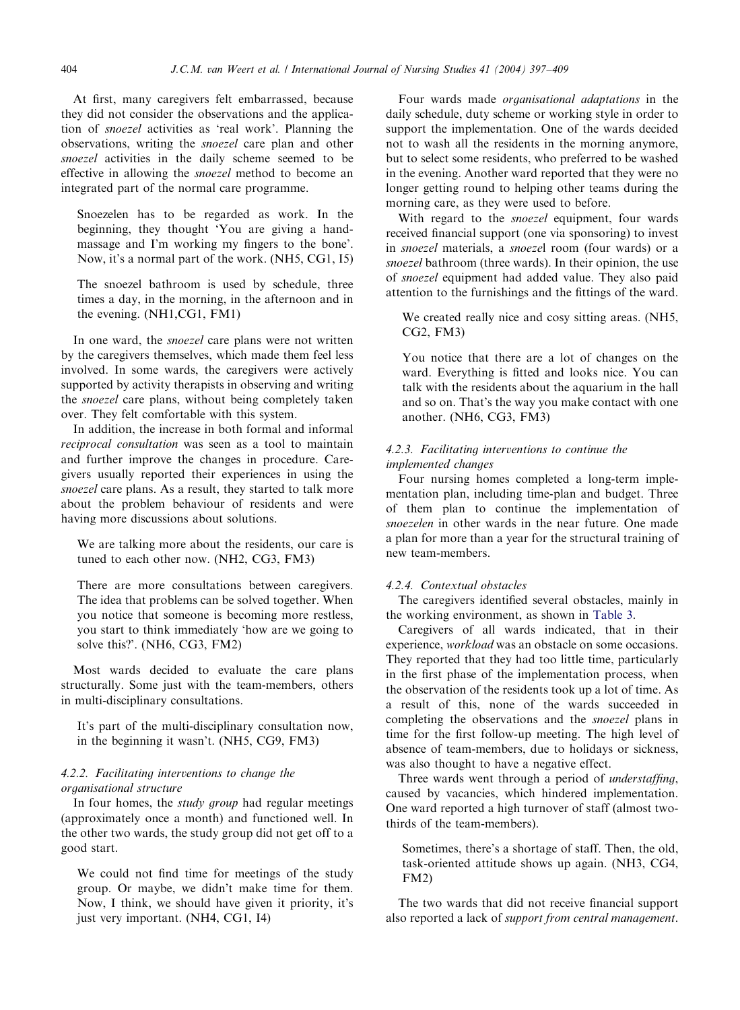At first, many caregivers felt embarrassed, because they did not consider the observations and the application of snoezel activities as 'real work'. Planning the observations, writing the snoezel care plan and other snoezel activities in the daily scheme seemed to be effective in allowing the snoezel method to become an integrated part of the normal care programme.

Snoezelen has to be regarded as work. In the beginning, they thought 'You are giving a handmassage and I'm working my fingers to the bone'. Now, it's a normal part of the work. (NH5, CG1, I5)

The snoezel bathroom is used by schedule, three times a day, in the morning, in the afternoon and in the evening. (NH1,CG1, FM1)

In one ward, the *snoezel* care plans were not written by the caregivers themselves, which made them feel less involved. In some wards, the caregivers were actively supported by activity therapists in observing and writing the *snoezel* care plans, without being completely taken over. They felt comfortable with this system.

In addition, the increase in both formal and informal reciprocal consultation was seen as a tool to maintain and further improve the changes in procedure. Caregivers usually reported their experiences in using the snoezel care plans. As a result, they started to talk more about the problem behaviour of residents and were having more discussions about solutions.

We are talking more about the residents, our care is tuned to each other now. (NH2, CG3, FM3)

There are more consultations between caregivers. The idea that problems can be solved together. When you notice that someone is becoming more restless, you start to think immediately 'how are we going to solve this?'. (NH6, CG3, FM2)

Most wards decided to evaluate the care plans structurally. Some just with the team-members, others in multi-disciplinary consultations.

It's part of the multi-disciplinary consultation now, in the beginning it wasn't. (NH5, CG9, FM3)

## 4.2.2. Facilitating interventions to change the organisational structure

In four homes, the *study group* had regular meetings (approximately once a month) and functioned well. In the other two wards, the study group did not get off to a good start.

We could not find time for meetings of the study group. Or maybe, we didn't make time for them. Now, I think, we should have given it priority, it's just very important. (NH4, CG1, I4)

Four wards made organisational adaptations in the daily schedule, duty scheme or working style in order to support the implementation. One of the wards decided not to wash all the residents in the morning anymore, but to select some residents, who preferred to be washed in the evening. Another ward reported that they were no longer getting round to helping other teams during the morning care, as they were used to before.

With regard to the *snoezel* equipment, four wards received financial support (one via sponsoring) to invest in snoezel materials, a snoezel room (four wards) or a snoezel bathroom (three wards). In their opinion, the use of snoezel equipment had added value. Theyalso paid attention to the furnishings and the fittings of the ward.

We created really nice and cosy sitting areas. (NH5, CG2, FM3)

You notice that there are a lot of changes on the ward. Everything is fitted and looks nice. You can talk with the residents about the aquarium in the hall and so on. That's the way you make contact with one another. (NH6, CG3, FM3)

## 4.2.3. Facilitating interventions to continue the implemented changes

Four nursing homes completed a long-term implementation plan, including time-plan and budget. Three of them plan to continue the implementation of snoezelen in other wards in the near future. One made a plan for more than a year for the structural training of new team-members.

## 4.2.4. Contextual obstacles

The caregivers identified several obstacles, mainly in the working environment, as shown in [Table 3](#page-8-0).

Caregivers of all wards indicated, that in their experience, workload was an obstacle on some occasions. They reported that they had too little time, particularly in the first phase of the implementation process, when the observation of the residents took up a lot of time. As a result of this, none of the wards succeeded in completing the observations and the snoezel plans in time for the first follow-up meeting. The high level of absence of team-members, due to holidays or sickness, was also thought to have a negative effect.

Three wards went through a period of *understaffing*, caused by vacancies, which hindered implementation. One ward reported a high turnover of staff (almost twothirds of the team-members).

Sometimes, there's a shortage of staff. Then, the old, task-oriented attitude shows up again. (NH3, CG4, FM2)

The two wards that did not receive financial support also reported a lack of support from central management.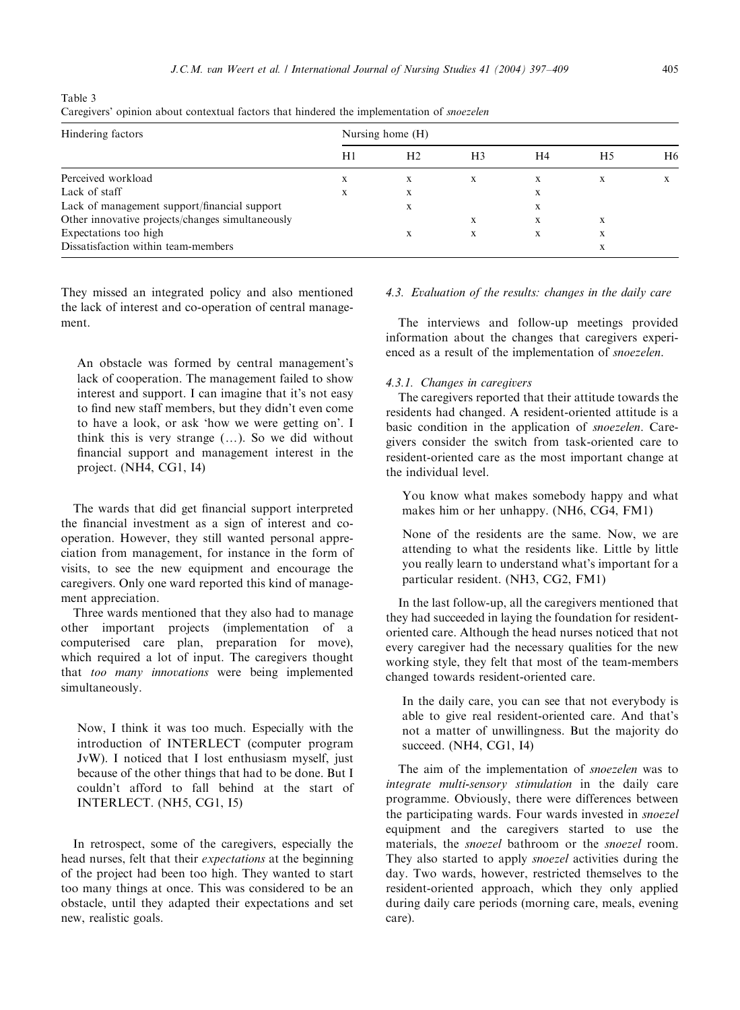<span id="page-8-0"></span>Table 3 Caregivers' opinion about contextual factors that hindered the implementation of snoezelen

| Hindering factors                                | Nursing home (H) |                |                |    |    |                |  |  |
|--------------------------------------------------|------------------|----------------|----------------|----|----|----------------|--|--|
|                                                  | H1               | H <sub>2</sub> | H <sub>3</sub> | H4 | H5 | H <sub>6</sub> |  |  |
| Perceived workload                               | X                | X              | X              | X  | X  |                |  |  |
| Lack of staff                                    | X                | X              |                | X  |    |                |  |  |
| Lack of management support/financial support     |                  | X              |                | X  |    |                |  |  |
| Other innovative projects/changes simultaneously |                  |                | X              | X  | X  |                |  |  |
| Expectations too high                            |                  | X              | X              | X  | X  |                |  |  |
| Dissatisfaction within team-members              |                  |                |                |    | X  |                |  |  |

They missed an integrated policy and also mentioned the lack of interest and co-operation of central management.

An obstacle was formed by central management's lack of cooperation. The management failed to show interest and support. I can imagine that it's not easy to find new staff members, but they didn't even come to have a look, or ask 'how we were getting on'. I think this is very strange  $(...)$ . So we did without financial support and management interest in the project. (NH4, CG1, I4)

The wards that did get financial support interpreted the financial investment as a sign of interest and cooperation. However, they still wanted personal appreciation from management, for instance in the form of visits, to see the new equipment and encourage the caregivers. Only one ward reported this kind of management appreciation.

Three wards mentioned that they also had to manage other important projects (implementation of a computerised care plan, preparation for move), which required a lot of input. The caregivers thought that too many innovations were being implemented simultaneously.

Now, I think it was too much. Especially with the introduction of INTERLECT (computer program JvW). I noticed that I lost enthusiasm myself, just because of the other things that had to be done. But I couldn't afford to fall behind at the start of INTERLECT. (NH5, CG1, I5)

In retrospect, some of the caregivers, especially the head nurses, felt that their expectations at the beginning of the project had been too high. Theywanted to start too manythings at once. This was considered to be an obstacle, until they adapted their expectations and set new, realistic goals.

## 4.3. Evaluation of the results: changes in the daily care

The interviews and follow-up meetings provided information about the changes that caregivers experienced as a result of the implementation of snoezelen.

## 4.3.1. Changes in caregivers

The caregivers reported that their attitude towards the residents had changed. A resident-oriented attitude is a basic condition in the application of snoezelen. Caregivers consider the switch from task-oriented care to resident-oriented care as the most important change at the individual level.

You know what makes somebody happy and what makes him or her unhappy. (NH6, CG4, FM1)

None of the residents are the same. Now, we are attending to what the residents like. Little by little you really learn to understand what's important for a particular resident. (NH3, CG2, FM1)

In the last follow-up, all the caregivers mentioned that they had succeeded in laying the foundation for residentoriented care. Although the head nurses noticed that not every caregiver had the necessary qualities for the new working style, they felt that most of the team-members changed towards resident-oriented care.

In the daily care, you can see that not everybody is able to give real resident-oriented care. And that's not a matter of unwillingness. But the majority do succeed. (NH4, CG1, I4)

The aim of the implementation of snoezelen was to integrate multi-sensory stimulation in the daily care programme. Obviously, there were differences between the participating wards. Four wards invested in snoezel equipment and the caregivers started to use the materials, the snoezel bathroom or the snoezel room. They also started to apply *snoezel* activities during the day. Two wards, however, restricted themselves to the resident-oriented approach, which they only applied during daily care periods (morning care, meals, evening care).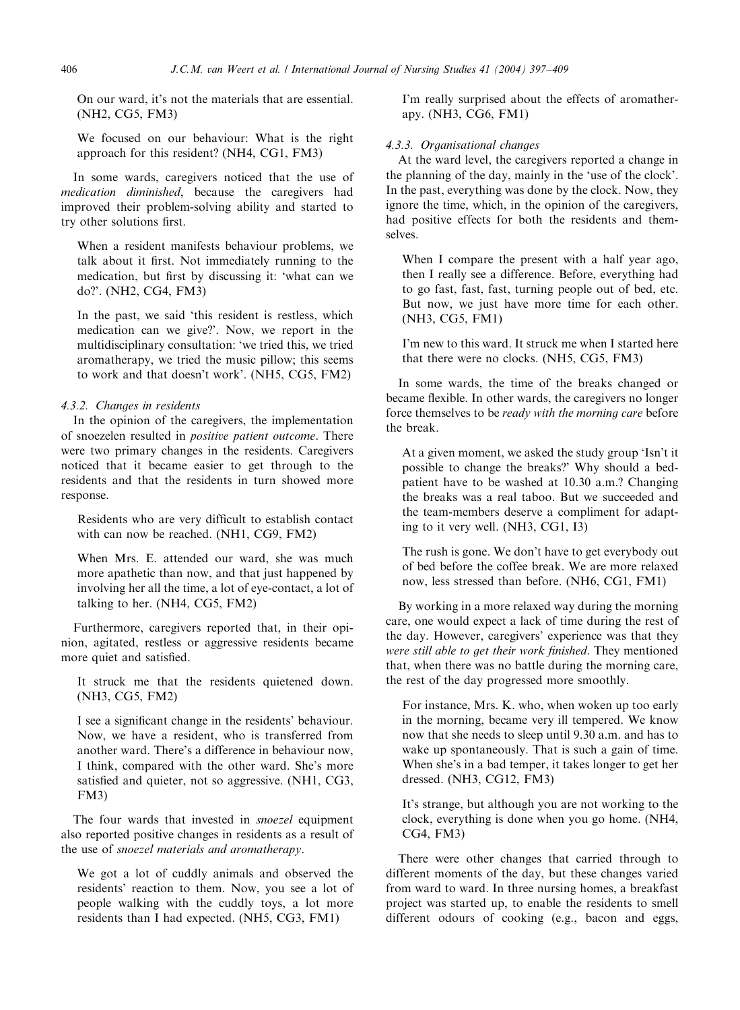On our ward, it's not the materials that are essential. (NH2, CG5, FM3)

We focused on our behaviour: What is the right approach for this resident? (NH4, CG1, FM3)

In some wards, caregivers noticed that the use of medication diminished, because the caregivers had improved their problem-solving abilityand started to tryother solutions first.

When a resident manifests behaviour problems, we talk about it first. Not immediately running to the medication, but first by discussing it: 'what can we do?'. (NH2, CG4, FM3)

In the past, we said 'this resident is restless, which medication can we give?'. Now, we report in the multidisciplinary consultation: 'we tried this, we tried aromatherapy, we tried the music pillow; this seems to work and that doesn't work'. (NH5, CG5, FM2)

## 4.3.2. Changes in residents

In the opinion of the caregivers, the implementation of snoezelen resulted in positive patient outcome. There were two primary changes in the residents. Caregivers noticed that it became easier to get through to the residents and that the residents in turn showed more response.

Residents who are very difficult to establish contact with can now be reached. (NH1, CG9, FM2)

When Mrs. E. attended our ward, she was much more apathetic than now, and that just happened by involving her all the time, a lot of eye-contact, a lot of talking to her. (NH4, CG5, FM2)

Furthermore, caregivers reported that, in their opinion, agitated, restless or aggressive residents became more quiet and satisfied.

It struck me that the residents quietened down. (NH3, CG5, FM2)

I see a significant change in the residents' behaviour. Now, we have a resident, who is transferred from another ward. There's a difference in behaviour now, I think, compared with the other ward. She's more satisfied and quieter, not so aggressive. (NH1, CG3, FM3)

The four wards that invested in *snoezel* equipment also reported positive changes in residents as a result of the use of snoezel materials and aromatherapy.

We got a lot of cuddly animals and observed the residents' reaction to them. Now, you see a lot of people walking with the cuddly toys, a lot more residents than I had expected. (NH5, CG3, FM1)

I'm really surprised about the effects of aromatherapy. (NH3, CG6, FM1)

#### 4.3.3. Organisational changes

At the ward level, the caregivers reported a change in the planning of the day, mainly in the 'use of the clock'. In the past, everything was done by the clock. Now, they ignore the time, which, in the opinion of the caregivers, had positive effects for both the residents and themselves.

When I compare the present with a half year ago, then I really see a difference. Before, everything had to go fast, fast, fast, turning people out of bed, etc. But now, we just have more time for each other. (NH3, CG5, FM1)

I'm new to this ward. It struck me when I started here that there were no clocks. (NH5, CG5, FM3)

In some wards, the time of the breaks changed or became flexible. In other wards, the caregivers no longer force themselves to be ready with the morning care before the break.

At a given moment, we asked the studygroup 'Isn't it possible to change the breaks?' Why should a bedpatient have to be washed at 10.30 a.m.? Changing the breaks was a real taboo. But we succeeded and the team-members deserve a compliment for adapting to it verywell. (NH3, CG1, I3)

The rush is gone. We don't have to get everybody out of bed before the coffee break. We are more relaxed now, less stressed than before. (NH6, CG1, FM1)

By working in a more relaxed way during the morning care, one would expect a lack of time during the rest of the day. However, caregivers' experience was that they were still able to get their work finished. They mentioned that, when there was no battle during the morning care, the rest of the day progressed more smoothly.

For instance, Mrs. K. who, when woken up too early in the morning, became very ill tempered. We know now that she needs to sleep until 9.30 a.m. and has to wake up spontaneously. That is such a gain of time. When she's in a bad temper, it takes longer to get her dressed. (NH3, CG12, FM3)

It's strange, but although you are not working to the clock, everything is done when you go home. (NH4, CG4, FM3)

There were other changes that carried through to different moments of the day, but these changes varied from ward to ward. In three nursing homes, a breakfast project was started up, to enable the residents to smell different odours of cooking (e.g., bacon and eggs,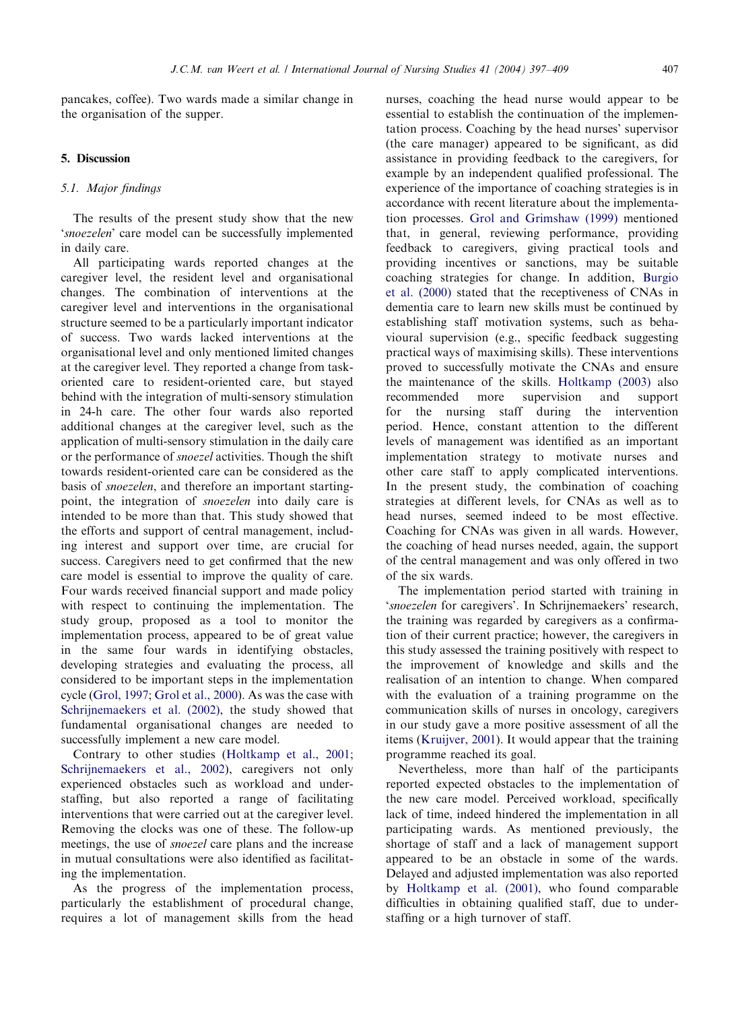pancakes, coffee). Two wards made a similar change in the organisation of the supper.

## 5. Discussion

#### 5.1. Major findings

The results of the present study show that the new 'snoezelen' care model can be successfully implemented in daily care.

All participating wards reported changes at the caregiver level, the resident level and organisational changes. The combination of interventions at the caregiver level and interventions in the organisational structure seemed to be a particularly important indicator of success. Two wards lacked interventions at the organisational level and onlymentioned limited changes at the caregiver level. They reported a change from taskoriented care to resident-oriented care, but stayed behind with the integration of multi-sensory stimulation in 24-h care. The other four wards also reported additional changes at the caregiver level, such as the application of multi-sensorystimulation in the dailycare or the performance of snoezel activities. Though the shift towards resident-oriented care can be considered as the basis of snoezelen, and therefore an important startingpoint, the integration of *snoezelen* into daily care is intended to be more than that. This study showed that the efforts and support of central management, including interest and support over time, are crucial for success. Caregivers need to get confirmed that the new care model is essential to improve the quality of care. Four wards received financial support and made policy with respect to continuing the implementation. The study group, proposed as a tool to monitor the implementation process, appeared to be of great value in the same four wards in identifying obstacles, developing strategies and evaluating the process, all considered to be important steps in the implementation cycle ([Grol, 1997](#page-12-0); [Grol et al., 2000\)](#page-12-0). As was the case with [Schrijnemaekers et al. \(2002\),](#page-12-0) the study showed that fundamental organisational changes are needed to successfully implement a new care model.

Contrary to other studies [\(Holtkamp et al., 2001;](#page-12-0) [Schrijnemaekers et al., 2002](#page-12-0)), caregivers not only experienced obstacles such as workload and understaffing, but also reported a range of facilitating interventions that were carried out at the caregiver level. Removing the clocks was one of these. The follow-up meetings, the use of snoezel care plans and the increase in mutual consultations were also identified as facilitating the implementation.

As the progress of the implementation process, particularly the establishment of procedural change, requires a lot of management skills from the head

nurses, coaching the head nurse would appear to be essential to establish the continuation of the implementation process. Coaching by the head nurses' supervisor (the care manager) appeared to be significant, as did assistance in providing feedback to the caregivers, for example by an independent qualified professional. The experience of the importance of coaching strategies is in accordance with recent literature about the implementation processes. [Grol and Grimshaw \(1999\)](#page-12-0) mentioned that, in general, reviewing performance, providing feedback to caregivers, giving practical tools and providing incentives or sanctions, maybe suitable coaching strategies for change. In addition, [Burgio](#page-12-0) [et al. \(2000\)](#page-12-0) stated that the receptiveness of CNAs in dementia care to learn new skills must be continued by establishing staff motivation systems, such as behavioural supervision (e.g., specific feedback suggesting practical ways of maximising skills). These interventions proved to successfully motivate the CNAs and ensure the maintenance of the skills. [Holtkamp \(2003\)](#page-12-0) also recommended more supervision and support for the nursing staff during the intervention period. Hence, constant attention to the different levels of management was identified as an important implementation strategy to motivate nurses and other care staff to apply complicated interventions. In the present study, the combination of coaching strategies at different levels, for CNAs as well as to head nurses, seemed indeed to be most effective. Coaching for CNAs was given in all wards. However, the coaching of head nurses needed, again, the support of the central management and was onlyoffered in two of the six wards.

The implementation period started with training in 'snoezelen for caregivers'. In Schrijnemaekers' research, the training was regarded bycaregivers as a confirmation of their current practice; however, the caregivers in this studyassessed the training positivelywith respect to the improvement of knowledge and skills and the realisation of an intention to change. When compared with the evaluation of a training programme on the communication skills of nurses in oncology, caregivers in our studygave a more positive assessment of all the items ([Kruijver, 2001\)](#page-12-0). It would appear that the training programme reached its goal.

Nevertheless, more than half of the participants reported expected obstacles to the implementation of the new care model. Perceived workload, specifically lack of time, indeed hindered the implementation in all participating wards. As mentioned previously, the shortage of staff and a lack of management support appeared to be an obstacle in some of the wards. Delayed and adjusted implementation was also reported by [Holtkamp et al. \(2001\),](#page-12-0) who found comparable difficulties in obtaining qualified staff, due to understaffing or a high turnover of staff.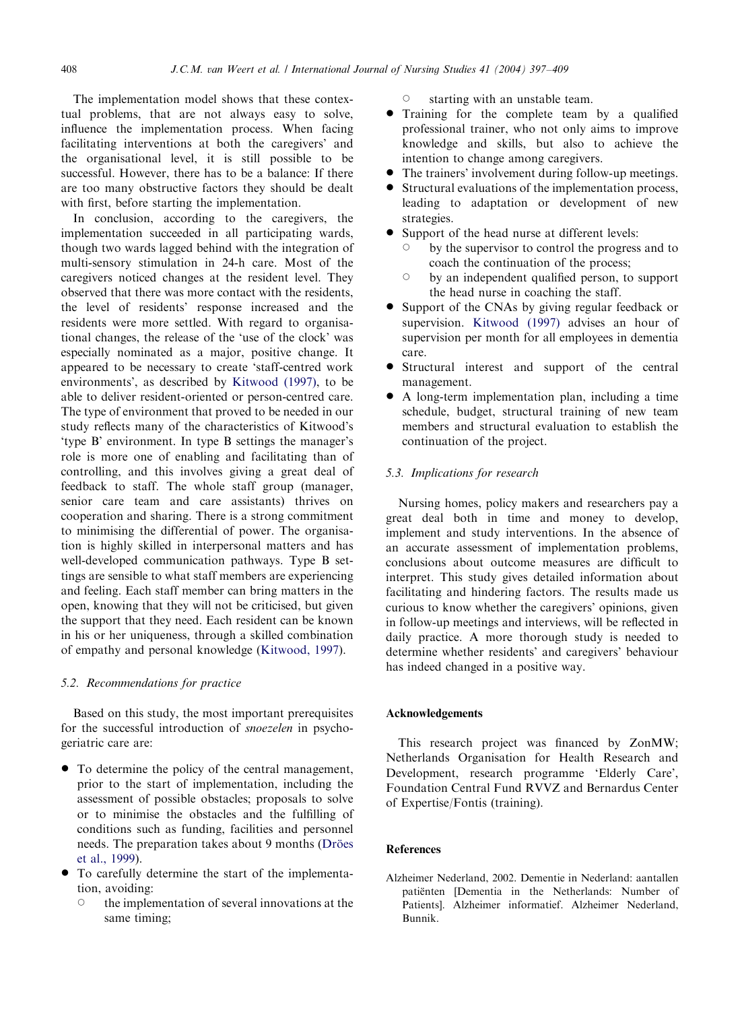<span id="page-11-0"></span>The implementation model shows that these contextual problems, that are not always easy to solve, influence the implementation process. When facing facilitating interventions at both the caregivers' and the organisational level, it is still possible to be successful. However, there has to be a balance: If there are too many obstructive factors they should be dealt with first, before starting the implementation.

In conclusion, according to the caregivers, the implementation succeeded in all participating wards, though two wards lagged behind with the integration of multi-sensorystimulation in 24-h care. Most of the caregivers noticed changes at the resident level. They observed that there was more contact with the residents, the level of residents' response increased and the residents were more settled. With regard to organisational changes, the release of the 'use of the clock' was especially nominated as a major, positive change. It appeared to be necessary to create 'staff-centred work environments', as described by [Kitwood \(1997\),](#page-12-0) to be able to deliver resident-oriented or person-centred care. The type of environment that proved to be needed in our study reflects many of the characteristics of Kitwood's 'type B' environment. In type B settings the manager's role is more one of enabling and facilitating than of controlling, and this involves giving a great deal of feedback to staff. The whole staff group (manager, senior care team and care assistants) thrives on cooperation and sharing. There is a strong commitment to minimising the differential of power. The organisation is highly skilled in interpersonal matters and has well-developed communication pathways. Type B settings are sensible to what staff members are experiencing and feeling. Each staff member can bring matters in the open, knowing that theywill not be criticised, but given the support that theyneed. Each resident can be known in his or her uniqueness, through a skilled combination of empathyand personal knowledge ([Kitwood, 1997](#page-12-0)).

#### 5.2. Recommendations for practice

Based on this study, the most important prerequisites for the successful introduction of snoezelen in psychogeriatric care are:

- To determine the policy of the central management, prior to the start of implementation, including the assessment of possible obstacles; proposals to solve or to minimise the obstacles and the fulfilling of conditions such as funding, facilities and personnel needs. The preparation takes about 9 months (Dröes [et al., 1999](#page-12-0)).
- To carefully determine the start of the implementation, avoiding:
	- the implementation of several innovations at the same timing;

 $\circ$  starting with an unstable team.

- Training for the complete team by a qualified professional trainer, who not onlyaims to improve knowledge and skills, but also to achieve the intention to change among caregivers.
- The trainers' involvement during follow-up meetings.
- \* Structural evaluations of the implementation process, leading to adaptation or development of new strategies.
- Support of the head nurse at different levels:
	- by the supervisor to control the progress and to coach the continuation of the process;
	- by an independent qualified person, to support the head nurse in coaching the staff.
- Support of the CNAs by giving regular feedback or supervision. [Kitwood \(1997\)](#page-12-0) advises an hour of supervision per month for all employees in dementia care.
- Structural interest and support of the central management.
- \* A long-term implementation plan, including a time schedule, budget, structural training of new team members and structural evaluation to establish the continuation of the project.

## 5.3. Implications for research

Nursing homes, policy makers and researchers pay a great deal both in time and money to develop, implement and study interventions. In the absence of an accurate assessment of implementation problems, conclusions about outcome measures are difficult to interpret. This study gives detailed information about facilitating and hindering factors. The results made us curious to know whether the caregivers' opinions, given in follow-up meetings and interviews, will be reflected in daily practice. A more thorough study is needed to determine whether residents' and caregivers' behaviour has indeed changed in a positive way.

#### Acknowledgements

This research project was financed by ZonMW; Netherlands Organisation for Health Research and Development, research programme 'Elderly Care', Foundation Central Fund RVVZ and Bernardus Center of Expertise/Fontis (training).

## References

Alzheimer Nederland, 2002. Dementie in Nederland: aantallen patiënten [Dementia in the Netherlands: Number of Patients]. Alzheimer informatief. Alzheimer Nederland, Bunnik.